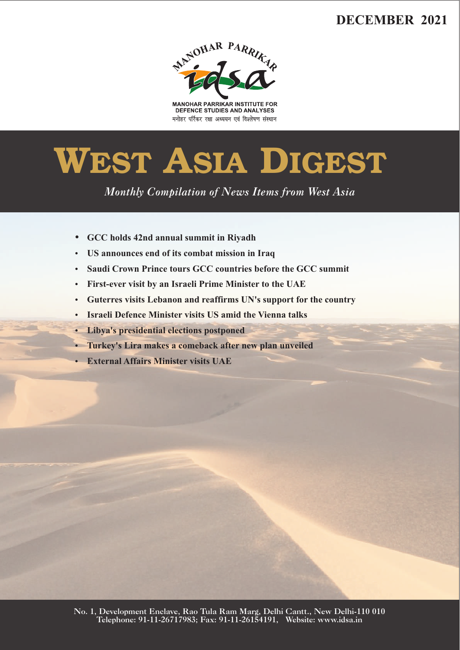# **DECEMBER 2021**



**MANOHAR PARRIKAR INSTITUTE FOR** DEFENCE STUDIES AND ANALYSES मनोहर पर्रिकर रक्षा अध्ययन एवं विश्लेषण संस्थान

# **WEST ASIA DIGEST**

*Monthly Compilation of News Items from West Asia* 

- 
- ??**GCC holds 42nd annual summit in Riyadh**
- ?**US announces end of its combat mission in Iraq** ?**Saudi Crown Prince tours GCC countries before the GCC summit**
- 
- ?**First-ever visit by an Israeli Prime Minister to the UAE** ?**Guterres visits Lebanon and reaffirms UN's support for the country**
- ?**Israeli Defence Minister visits US amid the Vienna talks**
- 
- ?**Libya's presidential elections postponed** ?**Turkey's Lira makes a comeback after new plan unveiled**
- **External Affairs Minister visits UAE**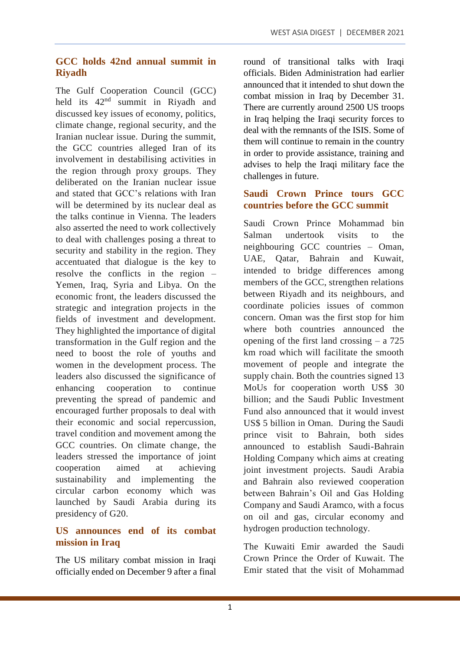## **GCC holds 42nd annual summit in Riyadh**

The Gulf Cooperation Council (GCC) held its  $42<sup>nd</sup>$  summit in Riyadh and discussed key issues of economy, politics, climate change, regional security, and the Iranian nuclear issue. During the summit, the GCC countries alleged Iran of its involvement in destabilising activities in the region through proxy groups. They deliberated on the Iranian nuclear issue and stated that GCC's relations with Iran will be determined by its nuclear deal as the talks continue in Vienna. The leaders also asserted the need to work collectively to deal with challenges posing a threat to security and stability in the region. They accentuated that dialogue is the key to resolve the conflicts in the region – Yemen, Iraq, Syria and Libya. On the economic front, the leaders discussed the strategic and integration projects in the fields of investment and development. They highlighted the importance of digital transformation in the Gulf region and the need to boost the role of youths and women in the development process. The leaders also discussed the significance of enhancing cooperation to continue preventing the spread of pandemic and encouraged further proposals to deal with their economic and social repercussion, travel condition and movement among the GCC countries. On climate change, the leaders stressed the importance of joint cooperation aimed at achieving sustainability and implementing the circular carbon economy which was launched by Saudi Arabia during its presidency of G20.

#### **US announces end of its combat mission in Iraq**

The US military combat mission in Iraqi officially ended on December 9 after a final round of transitional talks with Iraqi officials. Biden Administration had earlier announced that it intended to shut down the combat mission in Iraq by December 31. There are currently around 2500 US troops in Iraq helping the Iraqi security forces to deal with the remnants of the ISIS. Some of them will continue to remain in the country in order to provide assistance, training and advises to help the Iraqi military face the challenges in future.

#### **Saudi Crown Prince tours GCC countries before the GCC summit**

Saudi Crown Prince Mohammad bin Salman undertook visits to the neighbouring GCC countries – Oman, UAE, Qatar, Bahrain and Kuwait, intended to bridge differences among members of the GCC, strengthen relations between Riyadh and its neighbours, and coordinate policies issues of common concern. Oman was the first stop for him where both countries announced the opening of the first land crossing – a 725 km road which will facilitate the smooth movement of people and integrate the supply chain. Both the countries signed 13 MoUs for cooperation worth US\$ 30 billion; and the Saudi Public Investment Fund also announced that it would invest US\$ 5 billion in Oman. During the Saudi prince visit to Bahrain, both sides announced to establish Saudi-Bahrain Holding Company which aims at creating joint investment projects. Saudi Arabia and Bahrain also reviewed cooperation between Bahrain's Oil and Gas Holding Company and Saudi Aramco, with a focus on oil and gas, circular economy and hydrogen production technology.

The Kuwaiti Emir awarded the Saudi Crown Prince the Order of Kuwait. The Emir stated that the visit of Mohammad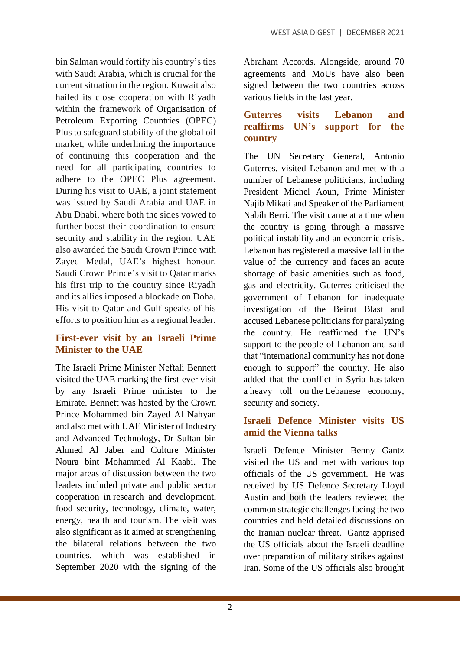bin Salman would fortify his country's ties with Saudi Arabia, which is crucial for the current situation in the region. Kuwait also hailed its close cooperation with Riyadh within the framework of Organisation of Petroleum Exporting Countries (OPEC) Plus to safeguard stability of the global oil market, while underlining the importance of continuing this cooperation and the need for all participating countries to adhere to the OPEC Plus agreement. During his visit to UAE, a joint statement was issued by Saudi Arabia and UAE in Abu Dhabi, where both the sides vowed to further boost their coordination to ensure security and stability in the region. UAE also awarded the Saudi Crown Prince with Zayed Medal, UAE's highest honour. Saudi Crown Prince's visit to Qatar marks his first trip to the country since Riyadh and its allies imposed a blockade on Doha. His visit to Qatar and Gulf speaks of his efforts to position him as a regional leader.

# **First-ever visit by an Israeli Prime Minister to the UAE**

The Israeli Prime Minister Neftali Bennett visited the UAE marking the first-ever visit by any Israeli Prime minister to the Emirate. Bennett was hosted by the Crown Prince Mohammed bin Zayed Al Nahyan and also met with UAE Minister of Industry and Advanced Technology, Dr Sultan bin Ahmed Al Jaber and Culture Minister Noura bint Mohammed Al Kaabi. The major areas of discussion between the two leaders included private and public sector cooperation in research and development, food security, technology, climate, water, energy, health and tourism. The visit was also significant as it aimed at strengthening the bilateral relations between the two countries, which was established in September 2020 with the signing of the

Abraham Accords. Alongside, around 70 agreements and MoUs have also been signed between the two countries across various fields in the last year.

#### **Guterres visits Lebanon and reaffirms UN's support for the country**

The UN Secretary General, Antonio Guterres, visited Lebanon and met with a number of Lebanese politicians, including President Michel Aoun, Prime Minister Najib Mikati and Speaker of the Parliament Nabih Berri. The visit came at a time when the country is going through a massive political instability and an economic crisis. Lebanon has registered a massive fall in the value of the currency and faces an acute shortage of basic amenities such as food, gas and electricity. Guterres criticised the government of Lebanon for inadequate investigation of the Beirut Blast and accused Lebanese politicians for paralyzing the country. He reaffirmed the UN's support to the people of Lebanon and said that "international community has not done enough to support" the country. He also added that the conflict in Syria has taken a heavy toll on the Lebanese economy, security and society.

#### **Israeli Defence Minister visits US amid the Vienna talks**

Israeli Defence Minister Benny Gantz visited the US and met with various top officials of the US government. He was received by US Defence Secretary Lloyd Austin and both the leaders reviewed the common strategic challenges facing the two countries and held detailed discussions on the Iranian nuclear threat. Gantz apprised the US officials about the Israeli deadline over preparation of military strikes against Iran. Some of the US officials also brought